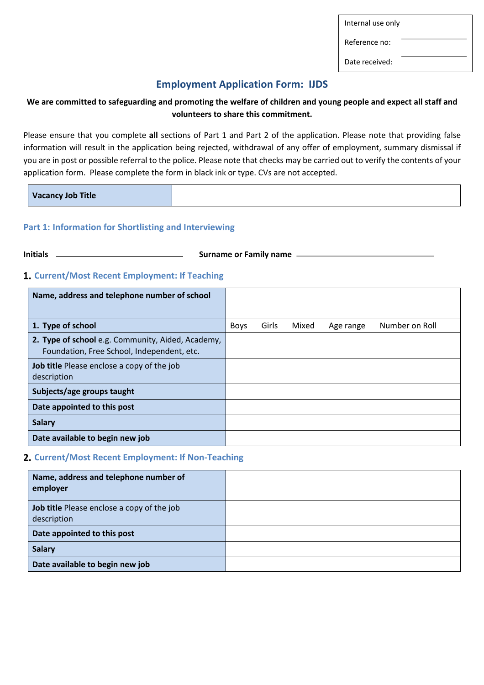Internal use only

Reference no:

Date received:

## **Employment Application Form: IJDS**

## **We are committed to safeguarding and promoting the welfare of children and young people and expect all staff and volunteers to share this commitment.**

Please ensure that you complete **all** sections of Part 1 and Part 2 of the application. Please note that providing false information will result in the application being rejected, withdrawal of any offer of employment, summary dismissal if you are in post or possible referral to the police. Please note that checks may be carried out to verify the contents of your application form. Please complete the form in black ink or type. CVs are not accepted.

| <b>Vacancy Job Title</b> |  |
|--------------------------|--|
|--------------------------|--|

## **Part 1: Information for Shortlisting and Interviewing**

**Initials Surname or Family name** –

## **Current/Most Recent Employment: If Teaching**

| Name, address and telephone number of school                                                    |             |       |       |           |                |
|-------------------------------------------------------------------------------------------------|-------------|-------|-------|-----------|----------------|
|                                                                                                 |             |       |       |           |                |
| 1. Type of school                                                                               | <b>Boys</b> | Girls | Mixed | Age range | Number on Roll |
| 2. Type of school e.g. Community, Aided, Academy,<br>Foundation, Free School, Independent, etc. |             |       |       |           |                |
| <b>Job title</b> Please enclose a copy of the job<br>description                                |             |       |       |           |                |
| Subjects/age groups taught                                                                      |             |       |       |           |                |
| Date appointed to this post                                                                     |             |       |       |           |                |
| <b>Salary</b>                                                                                   |             |       |       |           |                |
| Date available to begin new job                                                                 |             |       |       |           |                |

### **Current/Most Recent Employment: If Non-Teaching**

| Name, address and telephone number of<br>employer                |  |
|------------------------------------------------------------------|--|
| <b>Job title</b> Please enclose a copy of the job<br>description |  |
| Date appointed to this post                                      |  |
| <b>Salary</b>                                                    |  |
| Date available to begin new job                                  |  |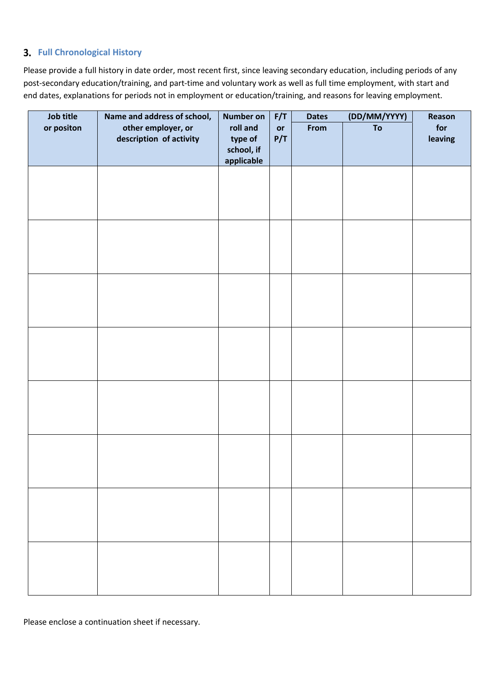## **Full Chronological History**

Please provide a full history in date order, most recent first, since leaving secondary education, including periods of any post-secondary education/training, and part-time and voluntary work as well as full time employment, with start and end dates, explanations for periods not in employment or education/training, and reasons for leaving employment.

| Job title  | Name and address of school, | <b>Number on</b>         | F/T | <b>Dates</b> | (DD/MM/YYYY) | Reason  |
|------------|-----------------------------|--------------------------|-----|--------------|--------------|---------|
| or positon | other employer, or          | roll and                 | or  | From         | To           | for     |
|            | description of activity     | type of                  | P/T |              |              | leaving |
|            |                             | school, if<br>applicable |     |              |              |         |
|            |                             |                          |     |              |              |         |
|            |                             |                          |     |              |              |         |
|            |                             |                          |     |              |              |         |
|            |                             |                          |     |              |              |         |
|            |                             |                          |     |              |              |         |
|            |                             |                          |     |              |              |         |
|            |                             |                          |     |              |              |         |
|            |                             |                          |     |              |              |         |
|            |                             |                          |     |              |              |         |
|            |                             |                          |     |              |              |         |
|            |                             |                          |     |              |              |         |
|            |                             |                          |     |              |              |         |
|            |                             |                          |     |              |              |         |
|            |                             |                          |     |              |              |         |
|            |                             |                          |     |              |              |         |
|            |                             |                          |     |              |              |         |
|            |                             |                          |     |              |              |         |
|            |                             |                          |     |              |              |         |
|            |                             |                          |     |              |              |         |
|            |                             |                          |     |              |              |         |
|            |                             |                          |     |              |              |         |
|            |                             |                          |     |              |              |         |
|            |                             |                          |     |              |              |         |
|            |                             |                          |     |              |              |         |
|            |                             |                          |     |              |              |         |
|            |                             |                          |     |              |              |         |
|            |                             |                          |     |              |              |         |
|            |                             |                          |     |              |              |         |
|            |                             |                          |     |              |              |         |
|            |                             |                          |     |              |              |         |
|            |                             |                          |     |              |              |         |
|            |                             |                          |     |              |              |         |
|            |                             |                          |     |              |              |         |

Please enclose a continuation sheet if necessary.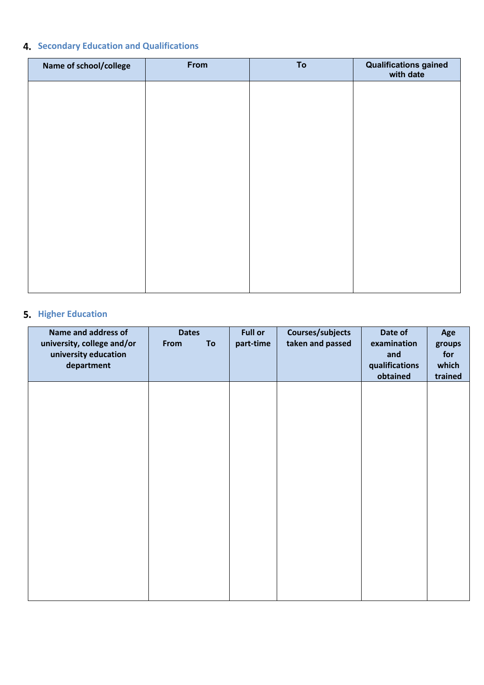# **4. Secondary Education and Qualifications**

| Name of school/college | From | To | <b>Qualifications gained</b><br>with date |
|------------------------|------|----|-------------------------------------------|
|                        |      |    |                                           |
|                        |      |    |                                           |
|                        |      |    |                                           |
|                        |      |    |                                           |
|                        |      |    |                                           |
|                        |      |    |                                           |
|                        |      |    |                                           |
|                        |      |    |                                           |
|                        |      |    |                                           |

# **5.** Higher Education

| Name and address of<br>university, college and/or<br>university education<br>department | <b>Dates</b><br>To<br>From | <b>Full or</b><br>part-time | Courses/subjects<br>taken and passed | Date of<br>examination<br>and<br>qualifications<br>obtained | Age<br>groups<br>for<br>which<br>trained |
|-----------------------------------------------------------------------------------------|----------------------------|-----------------------------|--------------------------------------|-------------------------------------------------------------|------------------------------------------|
|                                                                                         |                            |                             |                                      |                                                             |                                          |
|                                                                                         |                            |                             |                                      |                                                             |                                          |
|                                                                                         |                            |                             |                                      |                                                             |                                          |
|                                                                                         |                            |                             |                                      |                                                             |                                          |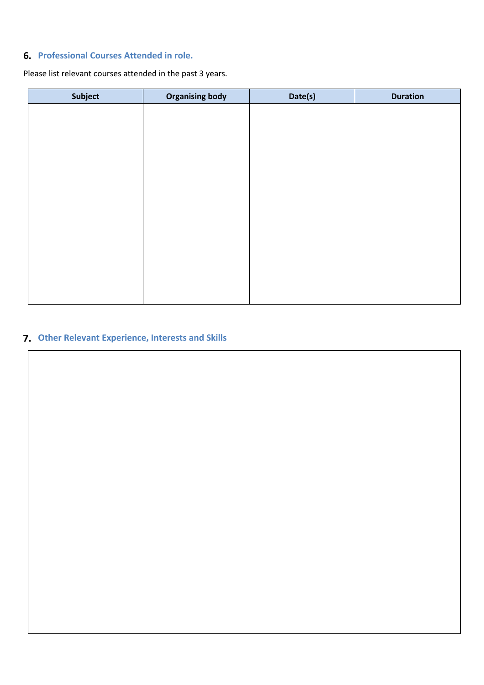## **Professional Courses Attended in role.**

Please list relevant courses attended in the past 3 years.

| Subject | <b>Organising body</b> | Date(s) | <b>Duration</b> |
|---------|------------------------|---------|-----------------|
|         |                        |         |                 |
|         |                        |         |                 |
|         |                        |         |                 |
|         |                        |         |                 |
|         |                        |         |                 |
|         |                        |         |                 |
|         |                        |         |                 |
|         |                        |         |                 |
|         |                        |         |                 |
|         |                        |         |                 |
|         |                        |         |                 |
|         |                        |         |                 |
|         |                        |         |                 |

# **Other Relevant Experience, Interests and Skills**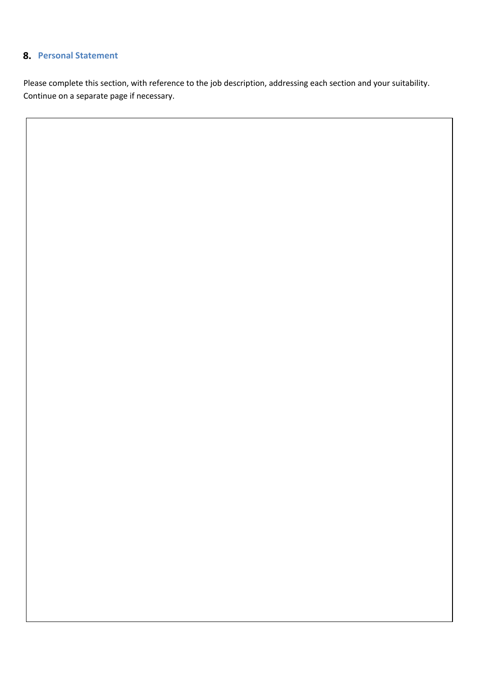## **Personal Statement**

Please complete this section, with reference to the job description, addressing each section and your suitability. Continue on a separate page if necessary.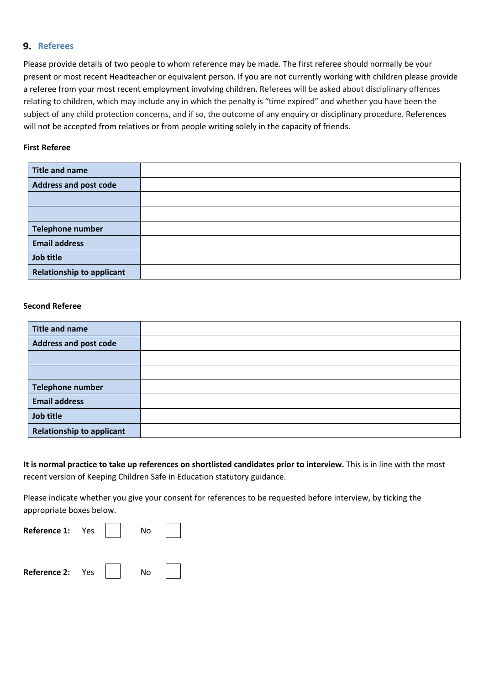#### **9.** Referees

Please provide details of two people to whom reference may be made. The first referee should normally be your present or most recent Headteacher or equivalent person. If you are not currently working with children please provide a referee from your most recent employment involving children. Referees will be asked about disciplinary offences relating to children, which may include any in which the penalty is "time expired" and whether you have been the subject of any child protection concerns, and if so, the outcome of any enquiry or disciplinary procedure. References will not be accepted from relatives or from people writing solely in the capacity of friends.

#### **First Referee**

| <b>Title and name</b>            |  |
|----------------------------------|--|
| <b>Address and post code</b>     |  |
|                                  |  |
|                                  |  |
| Telephone number                 |  |
| <b>Email address</b>             |  |
| Job title                        |  |
| <b>Relationship to applicant</b> |  |

#### **Second Referee**

| <b>Title and name</b>            |  |
|----------------------------------|--|
| <b>Address and post code</b>     |  |
|                                  |  |
|                                  |  |
| Telephone number                 |  |
| <b>Email address</b>             |  |
| Job title                        |  |
| <b>Relationship to applicant</b> |  |

**It is normal practice to take up references on shortlisted candidates prior to interview.** This is in line with the most recent version of Keeping Children Safe in Education statutory guidance.

Please indicate whether you give your consent for references to be requested before interview, by ticking the appropriate boxes below.

| Reference 1: Yes |  | No |  |
|------------------|--|----|--|
| Reference 2: Yes |  | No |  |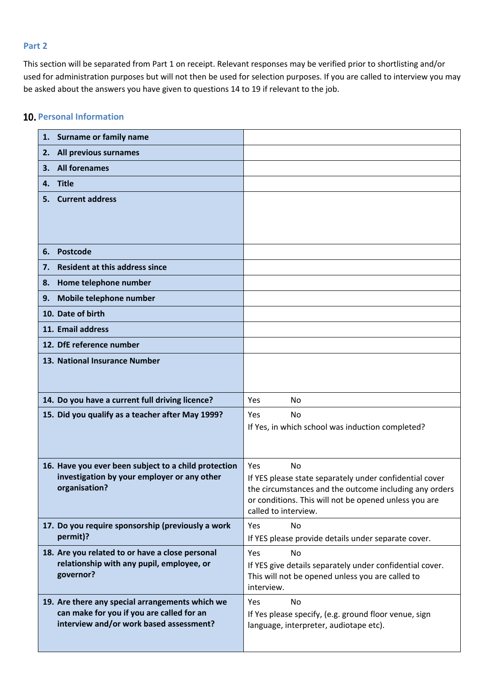#### **Part 2**

This section will be separated from Part 1 on receipt. Relevant responses may be verified prior to shortlisting and/or used for administration purposes but will not then be used for selection purposes. If you are called to interview you may be asked about the answers you have given to questions 14 to 19 if relevant to the job.

## **10. Personal Information**

| 1. Surname or family name                                                                           |                                                                                                                   |
|-----------------------------------------------------------------------------------------------------|-------------------------------------------------------------------------------------------------------------------|
| All previous surnames<br>2.                                                                         |                                                                                                                   |
| <b>All forenames</b><br>З.                                                                          |                                                                                                                   |
| <b>Title</b><br>4.                                                                                  |                                                                                                                   |
| <b>Current address</b><br>5.                                                                        |                                                                                                                   |
|                                                                                                     |                                                                                                                   |
| Postcode<br>6.                                                                                      |                                                                                                                   |
| <b>Resident at this address since</b><br>7.                                                         |                                                                                                                   |
| Home telephone number<br>8.                                                                         |                                                                                                                   |
| Mobile telephone number<br>9.                                                                       |                                                                                                                   |
| 10. Date of birth                                                                                   |                                                                                                                   |
| 11. Email address                                                                                   |                                                                                                                   |
| 12. DfE reference number                                                                            |                                                                                                                   |
| 13. National Insurance Number                                                                       |                                                                                                                   |
|                                                                                                     |                                                                                                                   |
| 14. Do you have a current full driving licence?                                                     | <b>Yes</b><br><b>No</b>                                                                                           |
| 15. Did you qualify as a teacher after May 1999?                                                    | <b>Yes</b><br><b>No</b>                                                                                           |
|                                                                                                     | If Yes, in which school was induction completed?                                                                  |
|                                                                                                     |                                                                                                                   |
|                                                                                                     |                                                                                                                   |
| 16. Have you ever been subject to a child protection<br>investigation by your employer or any other | <b>No</b><br><b>Yes</b>                                                                                           |
| organisation?                                                                                       | If YES please state separately under confidential cover<br>the circumstances and the outcome including any orders |
|                                                                                                     | or conditions. This will not be opened unless you are                                                             |
|                                                                                                     | called to interview.                                                                                              |
| 17. Do you require sponsorship (previously a work<br>permit)?                                       | No<br>Yes<br>If YES please provide details under separate cover.                                                  |
| 18. Are you related to or have a close personal                                                     | Yes<br>No                                                                                                         |
| relationship with any pupil, employee, or                                                           | If YES give details separately under confidential cover.                                                          |
| governor?                                                                                           | This will not be opened unless you are called to<br>interview.                                                    |
| 19. Are there any special arrangements which we                                                     | No<br>Yes                                                                                                         |
| can make for you if you are called for an<br>interview and/or work based assessment?                | If Yes please specify, (e.g. ground floor venue, sign                                                             |
|                                                                                                     | language, interpreter, audiotape etc).                                                                            |
|                                                                                                     |                                                                                                                   |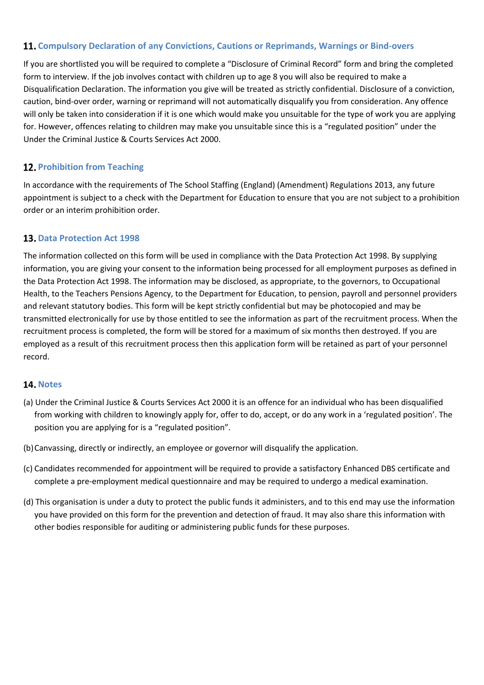## **Compulsory Declaration of any Convictions, Cautions or Reprimands, Warnings or Bind-overs**

If you are shortlisted you will be required to complete a "Disclosure of Criminal Record" form and bring the completed form to interview. If the job involves contact with children up to age 8 you will also be required to make a Disqualification Declaration. The information you give will be treated as strictly confidential. Disclosure of a conviction, caution, bind-over order, warning or reprimand will not automatically disqualify you from consideration. Any offence will only be taken into consideration if it is one which would make you unsuitable for the type of work you are applying for. However, offences relating to children may make you unsuitable since this is a "regulated position" under the Under the Criminal Justice & Courts Services Act 2000.

## **12. Prohibition from Teaching**

In accordance with the requirements of The School Staffing (England) (Amendment) Regulations 2013, any future appointment is subject to a check with the Department for Education to ensure that you are not subject to a prohibition order or an interim prohibition order.

## **13. Data Protection Act 1998**

The information collected on this form will be used in compliance with the Data Protection Act 1998. By supplying information, you are giving your consent to the information being processed for all employment purposes as defined in the Data Protection Act 1998. The information may be disclosed, as appropriate, to the governors, to Occupational Health, to the Teachers Pensions Agency, to the Department for Education, to pension, payroll and personnel providers and relevant statutory bodies. This form will be kept strictly confidential but may be photocopied and may be transmitted electronically for use by those entitled to see the information as part of the recruitment process. When the recruitment process is completed, the form will be stored for a maximum of six months then destroyed. If you are employed as a result of this recruitment process then this application form will be retained as part of your personnel record.

### 14. Notes

- (a) Under the Criminal Justice & Courts Services Act 2000 it is an offence for an individual who has been disqualified from working with children to knowingly apply for, offer to do, accept, or do any work in a 'regulated position'. The position you are applying for is a "regulated position".
- (b)Canvassing, directly or indirectly, an employee or governor will disqualify the application.
- (c) Candidates recommended for appointment will be required to provide a satisfactory Enhanced DBS certificate and complete a pre-employment medical questionnaire and may be required to undergo a medical examination.
- (d) This organisation is under a duty to protect the public funds it administers, and to this end may use the information you have provided on this form for the prevention and detection of fraud. It may also share this information with other bodies responsible for auditing or administering public funds for these purposes.